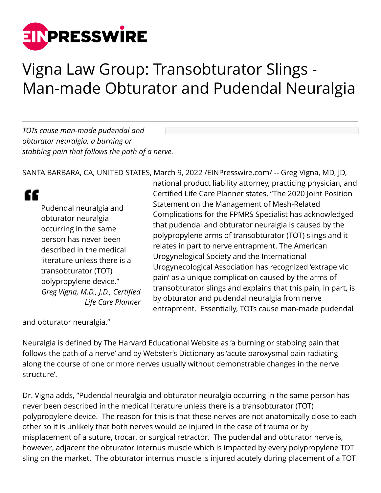

## Vigna Law Group: Transobturator Slings - Man-made Obturator and Pudendal Neuralgia

*TOTs cause man-made pudendal and obturator neuralgia, a burning or stabbing pain that follows the path of a nerve.*

SANTA BARBARA, CA, UNITED STATES, March 9, 2022 [/EINPresswire.com](http://www.einpresswire.com)/ -- Greg Vigna, MD, JD,

## ££

Pudendal neuralgia and obturator neuralgia occurring in the same person has never been described in the medical literature unless there is a transobturator (TOT) polypropylene device." *Greg Vigna, M.D., J.D., Certified Life Care Planner*

national product liability attorney, practicing physician, and Certified Life Care Planner states, "The 2020 Joint Position Statement on the Management of Mesh-Related Complications for the FPMRS Specialist has acknowledged that pudendal and obturator neuralgia is caused by the polypropylene arms of transobturator (TOT) slings and it relates in part to nerve entrapment. The American Urogynelogical Society and the International Urogynecological Association has recognized 'extrapelvic pain' as a unique complication caused by the arms of transobturator slings and explains that this pain, in part, is by obturator and pudendal neuralgia from nerve entrapment. Essentially, TOTs cause man-made pudendal

and obturator neuralgia."

Neuralgia is defined by The Harvard Educational Website as 'a burning or stabbing pain that follows the path of a nerve' and by Webster's Dictionary as 'acute paroxysmal pain radiating along the course of one or more nerves usually without demonstrable changes in the nerve structure'.

Dr. Vigna adds, "Pudendal neuralgia and obturator neuralgia occurring in the same person has never been described in the medical literature unless there is a transobturator (TOT) polypropylene device. The reason for this is that these nerves are not anatomically close to each other so it is unlikely that both nerves would be injured in the case of trauma or by misplacement of a suture, trocar, or surgical retractor. The pudendal and obturator nerve is, however, adjacent the obturator internus muscle which is impacted by every polypropylene TOT sling on the market. The obturator internus muscle is injured acutely during placement of a TOT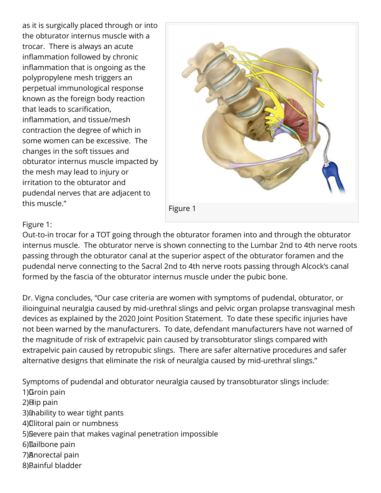as it is surgically placed through or into the obturator internus muscle with a trocar. There is always an acute inflammation followed by chronic inflammation that is ongoing as the polypropylene mesh triggers an perpetual immunological response known as the foreign body reaction that leads to scarification, inflammation, and tissue/mesh contraction the degree of which in some women can be excessive. The changes in the soft tissues and obturator internus muscle impacted by the mesh may lead to injury or irritation to the obturator and pudendal nerves that are adjacent to this muscle."



## Figure 1:

Out-to-in trocar for a TOT going through the obturator foramen into and through the obturator internus muscle. The obturator nerve is shown connecting to the Lumbar 2nd to 4th nerve roots passing through the obturator canal at the superior aspect of the obturator foramen and the pudendal nerve connecting to the Sacral 2nd to 4th nerve roots passing through Alcock's canal formed by the fascia of the obturator internus muscle under the pubic bone.

Dr. Vigna concludes, "Our case criteria are women with symptoms of pudendal, obturator, or ilioinguinal neuralgia caused by mid-urethral slings and pelvic organ prolapse transvaginal mesh devices as explained by the 2020 Joint Position Statement. To date these specific injuries have not been warned by the manufacturers. To date, defendant manufacturers have not warned of the magnitude of risk of extrapelvic pain caused by transobturator slings compared with extrapelvic pain caused by retropubic slings. There are safer alternative procedures and safer alternative designs that eliminate the risk of neuralgia caused by mid-urethral slings."

Symptoms of pudendal and obturator neuralgia caused by transobturator slings include: 1) Groin pain  $2)$ Hip pain 3) Inability to wear tight pants 4) **Clitoral pain or numbness** 5) Severe pain that makes vaginal penetration impossible 6) Tailbone pain 7) Anorectal pain 8) Bainful bladder